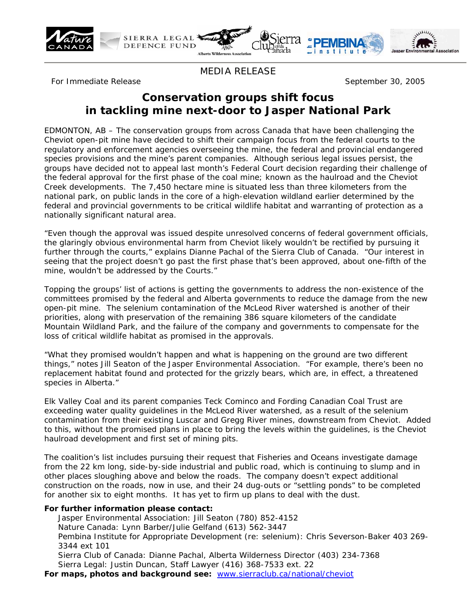



MEDIA RELEASE

For Immediate Release September 30, 2005

# **Conservation groups shift focus in tackling mine next-door to Jasper National Park**

EDMONTON, AB – The conservation groups from across Canada that have been challenging the Cheviot open-pit mine have decided to shift their campaign focus from the federal courts to the regulatory and enforcement agencies overseeing the mine, the federal and provincial endangered species provisions and the mine's parent companies. Although serious legal issues persist, the groups have decided not to appeal last month's Federal Court decision regarding their challenge of the federal approval for the first phase of the coal mine; known as the haulroad and the Cheviot Creek developments. The 7,450 hectare mine is situated less than three kilometers from the national park, on public lands in the core of a high-elevation wildland earlier determined by the federal and provincial governments to be critical wildlife habitat and warranting of protection as a nationally significant natural area.

"Even though the approval was issued despite unresolved concerns of federal government officials, the glaringly obvious environmental harm from Cheviot likely wouldn't be rectified by pursuing it further through the courts," explains Dianne Pachal of the Sierra Club of Canada. "Our interest in seeing that the project doesn't go past the first phase that's been approved, about one-fifth of the mine, wouldn't be addressed by the Courts."

Topping the groups' list of actions is getting the governments to address the non-existence of the committees promised by the federal and Alberta governments to reduce the damage from the new open-pit mine. The selenium contamination of the McLeod River watershed is another of their priorities, along with preservation of the remaining 386 square kilometers of the candidate Mountain Wildland Park, and the failure of the company and governments to compensate for the loss of critical wildlife habitat as promised in the approvals.

"What they promised wouldn't happen and what is happening on the ground are two different things," notes Jill Seaton of the Jasper Environmental Association. "For example, there's been no replacement habitat found and protected for the grizzly bears, which are, in effect, a threatened species in Alberta."

Elk Valley Coal and its parent companies Teck Cominco and Fording Canadian Coal Trust are exceeding water quality guidelines in the McLeod River watershed, as a result of the selenium contamination from their existing Luscar and Gregg River mines, downstream from Cheviot. Added to this, without the promised plans in place to bring the levels within the guidelines, is the Cheviot haulroad development and first set of mining pits.

The coalition's list includes pursuing their request that Fisheries and Oceans investigate damage from the 22 km long, side-by-side industrial and public road, which is continuing to slump and in other places sloughing above and below the roads. The company doesn't expect additional construction on the roads, now in use, and their 24 dug-outs or "settling ponds" to be completed for another six to eight months. It has yet to firm up plans to deal with the dust.

#### **For further information please contact:**

Jasper Environmental Association: Jill Seaton (780) 852-4152

Nature Canada: Lynn Barber/Julie Gelfand (613) 562-3447

Pembina Institute for Appropriate Development (re: selenium): Chris Severson-Baker 403 269- 3344 ext 101

Sierra Club of Canada: Dianne Pachal, Alberta Wilderness Director (403) 234-7368 Sierra Legal: Justin Duncan, Staff Lawyer (416) 368-7533 ext. 22

**For maps, photos and background see:** www.sierraclub.ca/national/cheviot